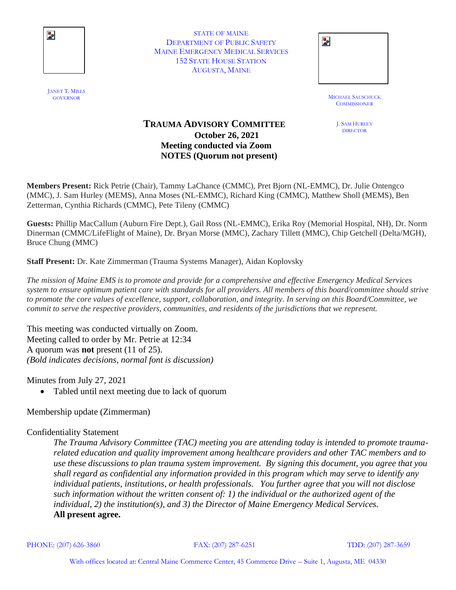

STATE OF MAINE DEPARTMENT OF PUBLIC SAFETY MAINE EMERGENCY MEDICAL SERVICES 152 STATE HOUSE STATION AUGUSTA, MAINE

| STATE OF MAINE             |  |
|----------------------------|--|
| TMENT OF PUBLIC SAFETY     |  |
| ERGENCY MEDICAL SERVICES   |  |
| <b>STATE HOUSE STATION</b> |  |
| AUGUSTA, MAINE             |  |
|                            |  |

**MICHAEL SAUSCHUCK COMMISSIONER** 

> J. SAM HURLEY DIRECTOR

## **TRAUMA ADVISORY COMMITTEE October 26, 2021 Meeting conducted via Zoom NOTES (Quorum not present)**

**Members Present:** Rick Petrie (Chair), Tammy LaChance (CMMC), Pret Bjorn (NL-EMMC), Dr. Julie Ontengco (MMC), J. Sam Hurley (MEMS), Anna Moses (NL-EMMC), Richard King (CMMC), Matthew Sholl (MEMS), Ben Zetterman, Cynthia Richards (CMMC), Pete Tileny (CMMC)

**Guests:** Phillip MacCallum (Auburn Fire Dept.), Gail Ross (NL-EMMC), Erika Roy (Memorial Hospital, NH), Dr. Norm Dinerman (CMMC/LifeFlight of Maine), Dr. Bryan Morse (MMC), Zachary Tillett (MMC), Chip Getchell (Delta/MGH), Bruce Chung (MMC)

**Staff Present:** Dr. Kate Zimmerman (Trauma Systems Manager), Aidan Koplovsky

*The mission of Maine EMS is to promote and provide for a comprehensive and effective Emergency Medical Services system to ensure optimum patient care with standards for all providers. All members of this board/committee should strive to promote the core values of excellence, support, collaboration, and integrity. In serving on this Board/Committee, we commit to serve the respective providers, communities, and residents of the jurisdictions that we represent.*

This meeting was conducted virtually on Zoom. Meeting called to order by Mr. Petrie at 12:34 A quorum was **not** present (11 of 25). *(Bold indicates decisions, normal font is discussion)*

Minutes from July 27, 2021

Tabled until next meeting due to lack of quorum

Membership update (Zimmerman)

## Confidentiality Statement

*The Trauma Advisory Committee (TAC) meeting you are attending today is intended to promote traumarelated education and quality improvement among healthcare providers and other TAC members and to use these discussions to plan trauma system improvement. By signing this document, you agree that you shall regard as confidential any information provided in this program which may serve to identify any individual patients, institutions, or health professionals. You further agree that you will not disclose such information without the written consent of: 1) the individual or the authorized agent of the individual, 2) the institution(s), and 3) the Director of Maine Emergency Medical Services.*  **All present agree.**

PHONE: (207) 626-3860 FAX: (207) 287-6251 TDD: (207) 287-3659

JANET T. MILLS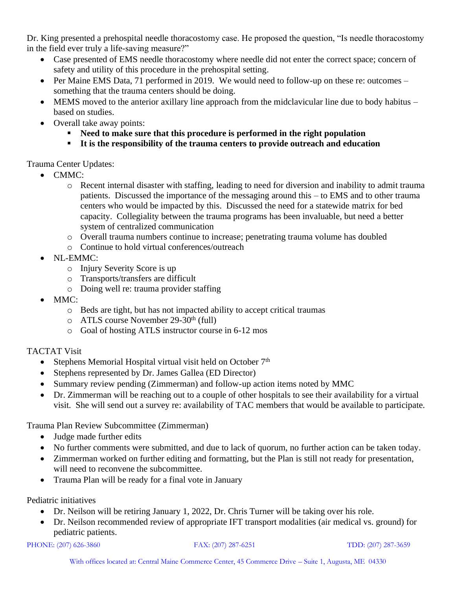Dr. King presented a prehospital needle thoracostomy case. He proposed the question, "Is needle thoracostomy in the field ever truly a life-saving measure?"

- Case presented of EMS needle thoracostomy where needle did not enter the correct space; concern of safety and utility of this procedure in the prehospital setting.
- Per Maine EMS Data, 71 performed in 2019. We would need to follow-up on these re: outcomes something that the trauma centers should be doing.
- MEMS moved to the anterior axillary line approach from the midclavicular line due to body habitus based on studies.
- Overall take away points:
	- **Need to make sure that this procedure is performed in the right population**
	- **It is the responsibility of the trauma centers to provide outreach and education**

Trauma Center Updates:

- CMMC:
	- o Recent internal disaster with staffing, leading to need for diversion and inability to admit trauma patients. Discussed the importance of the messaging around this – to EMS and to other trauma centers who would be impacted by this. Discussed the need for a statewide matrix for bed capacity. Collegiality between the trauma programs has been invaluable, but need a better system of centralized communication
	- o Overall trauma numbers continue to increase; penetrating trauma volume has doubled
	- o Continue to hold virtual conferences/outreach
- NL-EMMC:
	- o Injury Severity Score is up
	- o Transports/transfers are difficult
	- o Doing well re: trauma provider staffing
- MMC:
	- o Beds are tight, but has not impacted ability to accept critical traumas
	- $\circ$  ATLS course November 29-30<sup>th</sup> (full)
	- o Goal of hosting ATLS instructor course in 6-12 mos

## TACTAT Visit

- Stephens Memorial Hospital virtual visit held on October  $7<sup>th</sup>$
- Stephens represented by Dr. James Gallea (ED Director)
- Summary review pending (Zimmerman) and follow-up action items noted by MMC
- Dr. Zimmerman will be reaching out to a couple of other hospitals to see their availability for a virtual visit. She will send out a survey re: availability of TAC members that would be available to participate.

Trauma Plan Review Subcommittee (Zimmerman)

- Judge made further edits
- No further comments were submitted, and due to lack of quorum, no further action can be taken today.
- Zimmerman worked on further editing and formatting, but the Plan is still not ready for presentation, will need to reconvene the subcommittee.
- Trauma Plan will be ready for a final vote in January

Pediatric initiatives

- Dr. Neilson will be retiring January 1, 2022, Dr. Chris Turner will be taking over his role.
- Dr. Neilson recommended review of appropriate IFT transport modalities (air medical vs. ground) for pediatric patients.

```
PHONE: (207) 626-3860 FAX: (207) 287-6251 TDD: (207) 287-3659
```